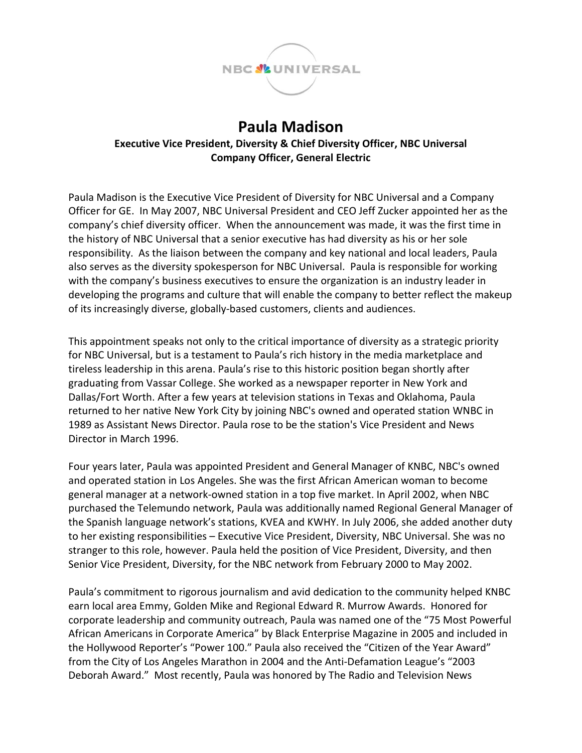

## **Paula Madison Executive Vice President, Diversity & Chief Diversity Officer, NBC Universal Company Officer, General Electric**

Paula Madison is the Executive Vice President of Diversity for NBC Universal and a Company Officer for GE. In May 2007, NBC Universal President and CEO Jeff Zucker appointed her as the company's chief diversity officer. When the announcement was made, it was the first time in the history of NBC Universal that a senior executive has had diversity as his or her sole responsibility. As the liaison between the company and key national and local leaders, Paula also serves as the diversity spokesperson for NBC Universal. Paula is responsible for working with the company's business executives to ensure the organization is an industry leader in developing the programs and culture that will enable the company to better reflect the makeup of its increasingly diverse, globally-based customers, clients and audiences.

This appointment speaks not only to the critical importance of diversity as a strategic priority for NBC Universal, but is a testament to Paula's rich history in the media marketplace and tireless leadership in this arena. Paula's rise to this historic position began shortly after graduating from Vassar College. She worked as a newspaper reporter in New York and Dallas/Fort Worth. After a few years at television stations in Texas and Oklahoma, Paula returned to her native New York City by joining NBC's owned and operated station WNBC in 1989 as Assistant News Director. Paula rose to be the station's Vice President and News Director in March 1996.

Four years later, Paula was appointed President and General Manager of KNBC, NBC's owned and operated station in Los Angeles. She was the first African American woman to become general manager at a network-owned station in a top five market. In April 2002, when NBC purchased the Telemundo network, Paula was additionally named Regional General Manager of the Spanish language network's stations, KVEA and KWHY. In July 2006, she added another duty to her existing responsibilities – Executive Vice President, Diversity, NBC Universal. She was no stranger to this role, however. Paula held the position of Vice President, Diversity, and then Senior Vice President, Diversity, for the NBC network from February 2000 to May 2002.

Paula's commitment to rigorous journalism and avid dedication to the community helped KNBC earn local area Emmy, Golden Mike and Regional Edward R. Murrow Awards. Honored for corporate leadership and community outreach, Paula was named one of the "75 Most Powerful African Americans in Corporate America" by Black Enterprise Magazine in 2005 and included in the Hollywood Reporter's "Power 100." Paula also received the "Citizen of the Year Award" from the City of Los Angeles Marathon in 2004 and the Anti-Defamation League's "2003 Deborah Award." Most recently, Paula was honored by The Radio and Television News